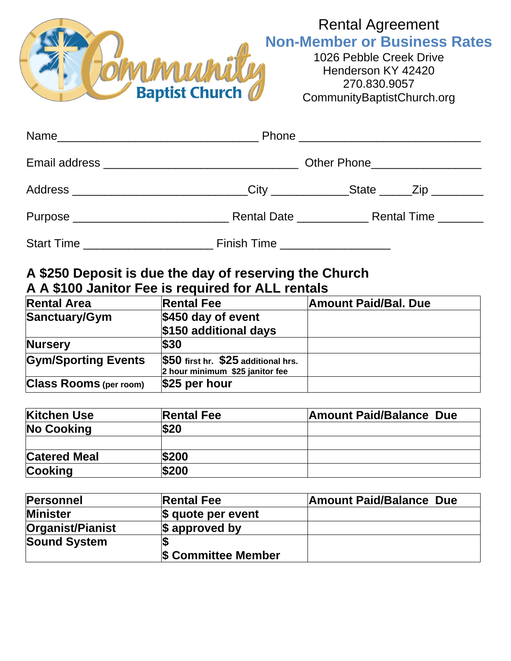

## Rental Agreement **Non-Member or Business Rates**

1026 Pebble Creek Drive Henderson KY 42420 270.830.9057 CommunityBaptistChurch.org

|                                       | Address _____________________________City _____________State _____Zip _________ |  |  |  |
|---------------------------------------|---------------------------------------------------------------------------------|--|--|--|
|                                       |                                                                                 |  |  |  |
| Start Time __________________________ | Finish Time ____________________                                                |  |  |  |

## **A \$250 Deposit is due the day of reserving the Church A A \$100 Janitor Fee is required for ALL rentals**

| <b>Rental Area</b>            | <b>Rental Fee</b>                                                      | <b>Amount Paid/Bal. Due</b> |
|-------------------------------|------------------------------------------------------------------------|-----------------------------|
| Sanctuary/Gym                 | $$450$ day of event                                                    |                             |
|                               | \$150 additional days                                                  |                             |
| <b>Nursery</b>                | \$30                                                                   |                             |
| <b>Gym/Sporting Events</b>    | \$50 first hr. \$25 additional hrs.<br>2 hour minimum \$25 janitor fee |                             |
| <b>Class Rooms</b> (per room) | \$25 per hour                                                          |                             |

| <b>Kitchen Use</b>  | <b>Rental Fee</b> | <b>Amount Paid/Balance Due</b> |  |
|---------------------|-------------------|--------------------------------|--|
| <b>No Cooking</b>   | \$20              |                                |  |
|                     |                   |                                |  |
| <b>Catered Meal</b> | \$200             |                                |  |
| <b>Cooking</b>      | \$200             |                                |  |

| <b>Personnel</b>    | <b>Rental Fee</b>          | <b>Amount Paid/Balance Due</b> |
|---------------------|----------------------------|--------------------------------|
| <b>Minister</b>     | $ \$$ quote per event      |                                |
| Organist/Pianist    | \$ approved by             |                                |
| <b>Sound System</b> |                            |                                |
|                     | <b>\$ Committee Member</b> |                                |